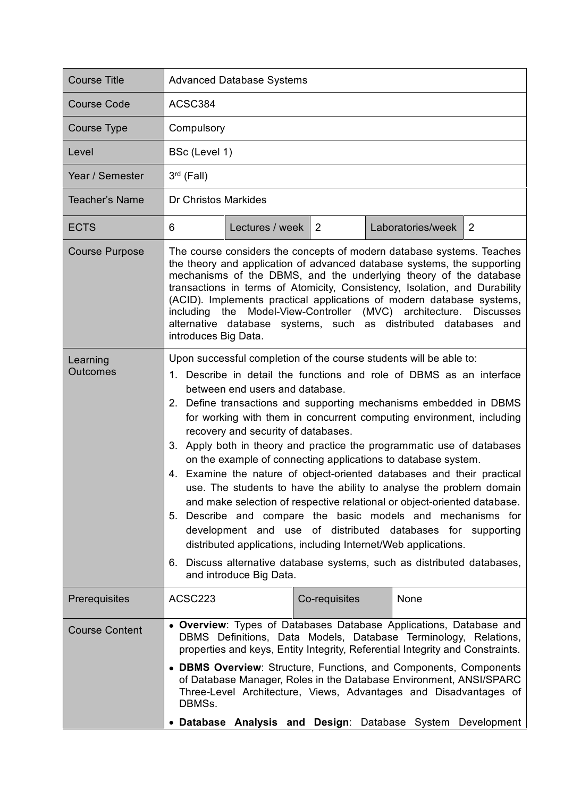| <b>Course Title</b>         | <b>Advanced Database Systems</b>                                                                                                                                                                                                                                                                                                                                                                                                                                                                                                                                                                                                                                                                                                                                                                                                                                                                                                                                                                                                                |                   |               |  |                   |                |
|-----------------------------|-------------------------------------------------------------------------------------------------------------------------------------------------------------------------------------------------------------------------------------------------------------------------------------------------------------------------------------------------------------------------------------------------------------------------------------------------------------------------------------------------------------------------------------------------------------------------------------------------------------------------------------------------------------------------------------------------------------------------------------------------------------------------------------------------------------------------------------------------------------------------------------------------------------------------------------------------------------------------------------------------------------------------------------------------|-------------------|---------------|--|-------------------|----------------|
| <b>Course Code</b>          | ACSC384                                                                                                                                                                                                                                                                                                                                                                                                                                                                                                                                                                                                                                                                                                                                                                                                                                                                                                                                                                                                                                         |                   |               |  |                   |                |
| <b>Course Type</b>          | Compulsory                                                                                                                                                                                                                                                                                                                                                                                                                                                                                                                                                                                                                                                                                                                                                                                                                                                                                                                                                                                                                                      |                   |               |  |                   |                |
| Level                       | BSc (Level 1)                                                                                                                                                                                                                                                                                                                                                                                                                                                                                                                                                                                                                                                                                                                                                                                                                                                                                                                                                                                                                                   |                   |               |  |                   |                |
| Year / Semester             | $3rd$ (Fall)                                                                                                                                                                                                                                                                                                                                                                                                                                                                                                                                                                                                                                                                                                                                                                                                                                                                                                                                                                                                                                    |                   |               |  |                   |                |
| Teacher's Name              | <b>Dr Christos Markides</b>                                                                                                                                                                                                                                                                                                                                                                                                                                                                                                                                                                                                                                                                                                                                                                                                                                                                                                                                                                                                                     |                   |               |  |                   |                |
| <b>ECTS</b>                 | 6                                                                                                                                                                                                                                                                                                                                                                                                                                                                                                                                                                                                                                                                                                                                                                                                                                                                                                                                                                                                                                               | Lectures / week 2 |               |  | Laboratories/week | $\overline{2}$ |
| <b>Course Purpose</b>       | The course considers the concepts of modern database systems. Teaches<br>the theory and application of advanced database systems, the supporting<br>mechanisms of the DBMS, and the underlying theory of the database<br>transactions in terms of Atomicity, Consistency, Isolation, and Durability<br>(ACID). Implements practical applications of modern database systems,<br>including the Model-View-Controller (MVC) architecture. Discusses<br>alternative database systems, such as distributed databases and<br>introduces Big Data.                                                                                                                                                                                                                                                                                                                                                                                                                                                                                                    |                   |               |  |                   |                |
| Learning<br><b>Outcomes</b> | Upon successful completion of the course students will be able to:<br>1. Describe in detail the functions and role of DBMS as an interface<br>between end users and database.<br>2. Define transactions and supporting mechanisms embedded in DBMS<br>for working with them in concurrent computing environment, including<br>recovery and security of databases.<br>3. Apply both in theory and practice the programmatic use of databases<br>on the example of connecting applications to database system.<br>4. Examine the nature of object-oriented databases and their practical<br>use. The students to have the ability to analyse the problem domain<br>and make selection of respective relational or object-oriented database.<br>5. Describe and compare the basic models and mechanisms for<br>development and use of distributed databases for supporting<br>distributed applications, including Internet/Web applications.<br>6. Discuss alternative database systems, such as distributed databases,<br>and introduce Big Data. |                   |               |  |                   |                |
| Prerequisites               | ACSC223                                                                                                                                                                                                                                                                                                                                                                                                                                                                                                                                                                                                                                                                                                                                                                                                                                                                                                                                                                                                                                         |                   | Co-requisites |  | None              |                |
| <b>Course Content</b>       | • Overview: Types of Databases Database Applications, Database and<br>DBMS Definitions, Data Models, Database Terminology, Relations,<br>properties and keys, Entity Integrity, Referential Integrity and Constraints.<br>• DBMS Overview: Structure, Functions, and Components, Components<br>of Database Manager, Roles in the Database Environment, ANSI/SPARC<br>Three-Level Architecture, Views, Advantages and Disadvantages of<br>DBMSs.<br>• Database Analysis and Design: Database System<br>Development                                                                                                                                                                                                                                                                                                                                                                                                                                                                                                                               |                   |               |  |                   |                |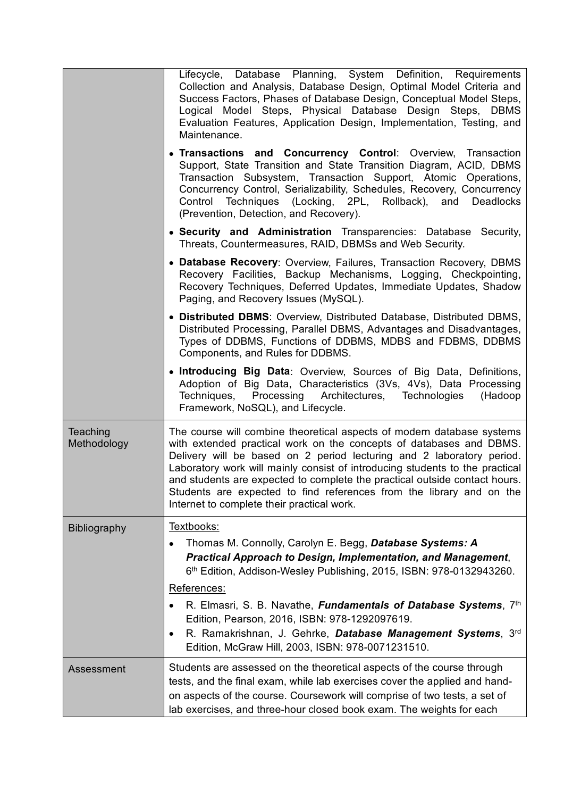|                         | Lifecycle, Database Planning, System Definition, Requirements<br>Collection and Analysis, Database Design, Optimal Model Criteria and<br>Success Factors, Phases of Database Design, Conceptual Model Steps,<br>Logical Model Steps, Physical Database Design Steps, DBMS<br>Evaluation Features, Application Design, Implementation, Testing, and<br>Maintenance.<br>• Transactions and Concurrency Control: Overview, Transaction<br>Support, State Transition and State Transition Diagram, ACID, DBMS<br>Transaction Subsystem, Transaction Support, Atomic Operations,<br>Concurrency Control, Serializability, Schedules, Recovery, Concurrency<br>Control Techniques (Locking, 2PL, Rollback), and<br>Deadlocks<br>(Prevention, Detection, and Recovery). |
|-------------------------|------------------------------------------------------------------------------------------------------------------------------------------------------------------------------------------------------------------------------------------------------------------------------------------------------------------------------------------------------------------------------------------------------------------------------------------------------------------------------------------------------------------------------------------------------------------------------------------------------------------------------------------------------------------------------------------------------------------------------------------------------------------|
|                         | • Security and Administration Transparencies: Database Security,<br>Threats, Countermeasures, RAID, DBMSs and Web Security.                                                                                                                                                                                                                                                                                                                                                                                                                                                                                                                                                                                                                                      |
|                         | • Database Recovery: Overview, Failures, Transaction Recovery, DBMS<br>Recovery Facilities, Backup Mechanisms, Logging, Checkpointing,<br>Recovery Techniques, Deferred Updates, Immediate Updates, Shadow<br>Paging, and Recovery Issues (MySQL).                                                                                                                                                                                                                                                                                                                                                                                                                                                                                                               |
|                         | • Distributed DBMS: Overview, Distributed Database, Distributed DBMS,<br>Distributed Processing, Parallel DBMS, Advantages and Disadvantages,<br>Types of DDBMS, Functions of DDBMS, MDBS and FDBMS, DDBMS<br>Components, and Rules for DDBMS.                                                                                                                                                                                                                                                                                                                                                                                                                                                                                                                   |
|                         | • Introducing Big Data: Overview, Sources of Big Data, Definitions,<br>Adoption of Big Data, Characteristics (3Vs, 4Vs), Data Processing<br>Techniques,<br>Processing Architectures, Technologies<br>(Hadoop<br>Framework, NoSQL), and Lifecycle.                                                                                                                                                                                                                                                                                                                                                                                                                                                                                                                |
| Teaching<br>Methodology | The course will combine theoretical aspects of modern database systems<br>with extended practical work on the concepts of databases and DBMS.<br>Delivery will be based on 2 period lecturing and 2 laboratory period.<br>Laboratory work will mainly consist of introducing students to the practical<br>and students are expected to complete the practical outside contact hours.<br>Students are expected to find references from the library and on the<br>Internet to complete their practical work.                                                                                                                                                                                                                                                       |
| Bibliography            | Textbooks:<br>Thomas M. Connolly, Carolyn E. Begg, Database Systems: A<br>Practical Approach to Design, Implementation, and Management,<br>6th Edition, Addison-Wesley Publishing, 2015, ISBN: 978-0132943260.<br>References:                                                                                                                                                                                                                                                                                                                                                                                                                                                                                                                                    |
|                         | R. Elmasri, S. B. Navathe, Fundamentals of Database Systems, 7th<br>Edition, Pearson, 2016, ISBN: 978-1292097619.<br>R. Ramakrishnan, J. Gehrke, Database Management Systems, 3rd<br>Edition, McGraw Hill, 2003, ISBN: 978-0071231510.                                                                                                                                                                                                                                                                                                                                                                                                                                                                                                                           |
| Assessment              | Students are assessed on the theoretical aspects of the course through<br>tests, and the final exam, while lab exercises cover the applied and hand-<br>on aspects of the course. Coursework will comprise of two tests, a set of<br>lab exercises, and three-hour closed book exam. The weights for each                                                                                                                                                                                                                                                                                                                                                                                                                                                        |